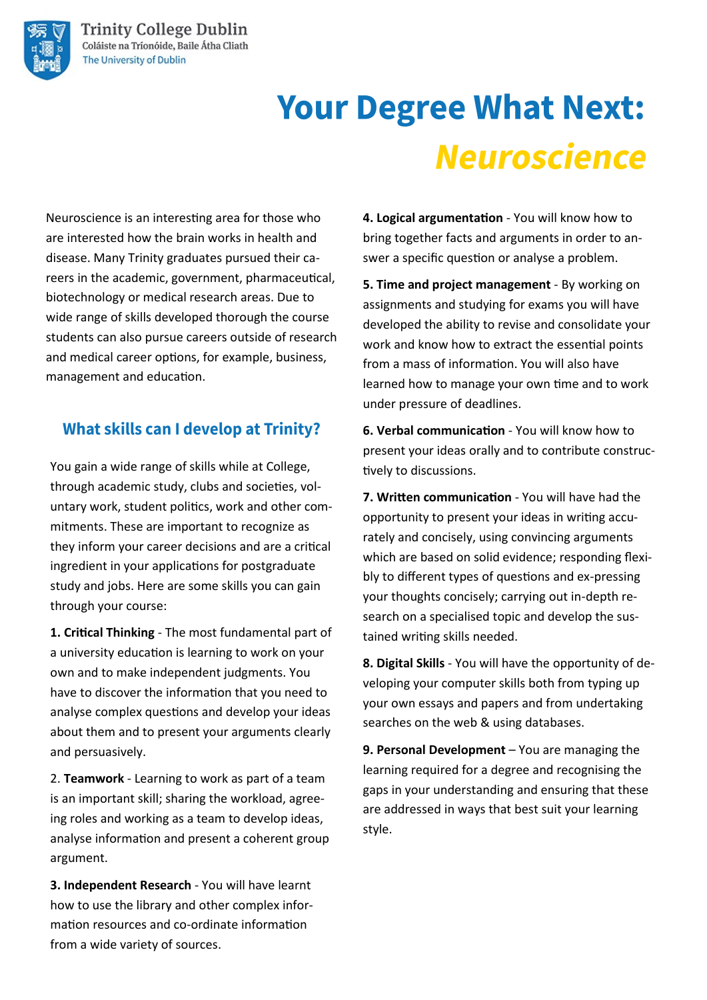

# **Your Degree What Next: Neuroscience**

Neuroscience is an interesting area for those who are interested how the brain works in health and disease. Many Trinity graduates pursued their careers in the academic, government, pharmaceutical, biotechnology or medical research areas. Due to wide range of skills developed thorough the course students can also pursue careers outside of research and medical career options, for example, business, management and education.

### **What skills can I develop at Trinity?**

You gain a wide range of skills while at College, through academic study, clubs and societies, voluntary work, student politics, work and other commitments. These are important to recognize as they inform your career decisions and are a critical ingredient in your applications for postgraduate study and jobs. Here are some skills you can gain through your course:

**1. Critical Thinking** - The most fundamental part of a university education is learning to work on your own and to make independent judgments. You have to discover the information that you need to analyse complex questions and develop your ideas about them and to present your arguments clearly and persuasively.

2. **Teamwork** - Learning to work as part of a team is an important skill; sharing the workload, agreeing roles and working as a team to develop ideas, analyse information and present a coherent group argument.

**3. Independent Research** - You will have learnt how to use the library and other complex information resources and co-ordinate information from a wide variety of sources.

**4. Logical argumentation** - You will know how to bring together facts and arguments in order to answer a specific question or analyse a problem.

**5. Time and project management** - By working on assignments and studying for exams you will have developed the ability to revise and consolidate your work and know how to extract the essential points from a mass of information. You will also have learned how to manage your own time and to work under pressure of deadlines.

**6. Verbal communication** - You will know how to present your ideas orally and to contribute constructively to discussions.

**7. Written communication** - You will have had the opportunity to present your ideas in writing accurately and concisely, using convincing arguments which are based on solid evidence; responding flexibly to different types of questions and ex-pressing your thoughts concisely; carrying out in-depth research on a specialised topic and develop the sustained writing skills needed.

**8. Digital Skills** - You will have the opportunity of developing your computer skills both from typing up your own essays and papers and from undertaking searches on the web & using databases.

**9. Personal Development** – You are managing the learning required for a degree and recognising the gaps in your understanding and ensuring that these are addressed in ways that best suit your learning style.